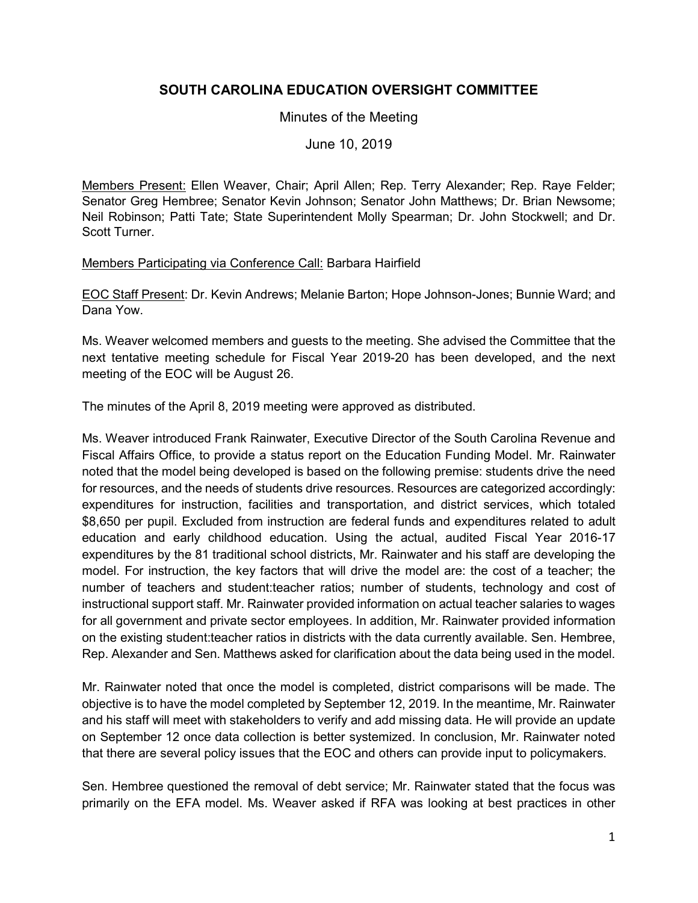# **SOUTH CAROLINA EDUCATION OVERSIGHT COMMITTEE**

### Minutes of the Meeting

## June 10, 2019

Members Present: Ellen Weaver, Chair; April Allen; Rep. Terry Alexander; Rep. Raye Felder; Senator Greg Hembree; Senator Kevin Johnson; Senator John Matthews; Dr. Brian Newsome; Neil Robinson; Patti Tate; State Superintendent Molly Spearman; Dr. John Stockwell; and Dr. Scott Turner.

#### Members Participating via Conference Call: Barbara Hairfield

EOC Staff Present: Dr. Kevin Andrews; Melanie Barton; Hope Johnson-Jones; Bunnie Ward; and Dana Yow.

Ms. Weaver welcomed members and guests to the meeting. She advised the Committee that the next tentative meeting schedule for Fiscal Year 2019-20 has been developed, and the next meeting of the EOC will be August 26.

The minutes of the April 8, 2019 meeting were approved as distributed.

Ms. Weaver introduced Frank Rainwater, Executive Director of the South Carolina Revenue and Fiscal Affairs Office, to provide a status report on the Education Funding Model. Mr. Rainwater noted that the model being developed is based on the following premise: students drive the need for resources, and the needs of students drive resources. Resources are categorized accordingly: expenditures for instruction, facilities and transportation, and district services, which totaled \$8,650 per pupil. Excluded from instruction are federal funds and expenditures related to adult education and early childhood education. Using the actual, audited Fiscal Year 2016-17 expenditures by the 81 traditional school districts, Mr. Rainwater and his staff are developing the model. For instruction, the key factors that will drive the model are: the cost of a teacher; the number of teachers and student:teacher ratios; number of students, technology and cost of instructional support staff. Mr. Rainwater provided information on actual teacher salaries to wages for all government and private sector employees. In addition, Mr. Rainwater provided information on the existing student:teacher ratios in districts with the data currently available. Sen. Hembree, Rep. Alexander and Sen. Matthews asked for clarification about the data being used in the model.

Mr. Rainwater noted that once the model is completed, district comparisons will be made. The objective is to have the model completed by September 12, 2019. In the meantime, Mr. Rainwater and his staff will meet with stakeholders to verify and add missing data. He will provide an update on September 12 once data collection is better systemized. In conclusion, Mr. Rainwater noted that there are several policy issues that the EOC and others can provide input to policymakers.

Sen. Hembree questioned the removal of debt service; Mr. Rainwater stated that the focus was primarily on the EFA model. Ms. Weaver asked if RFA was looking at best practices in other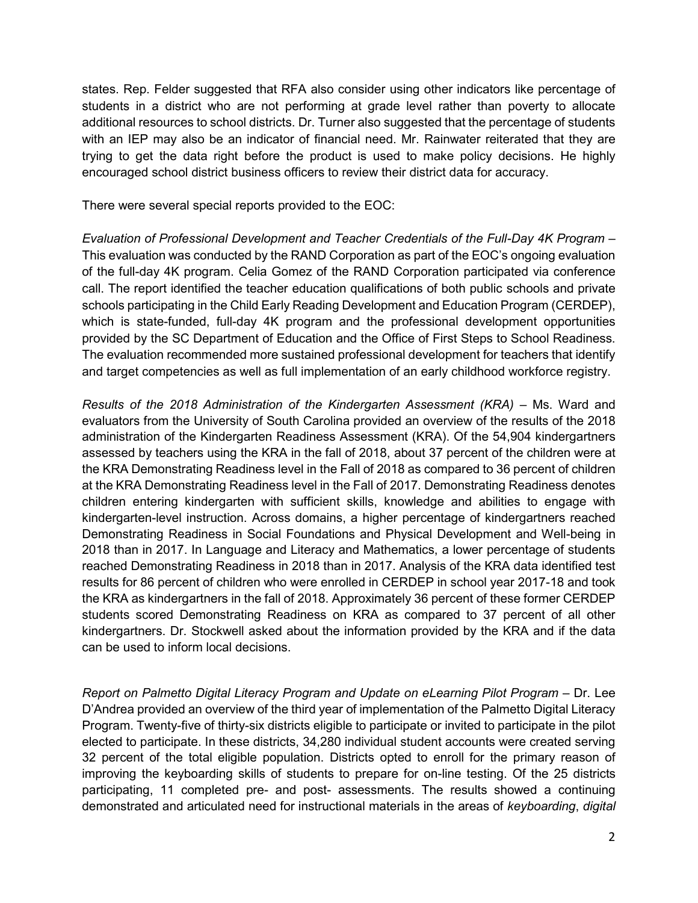states. Rep. Felder suggested that RFA also consider using other indicators like percentage of students in a district who are not performing at grade level rather than poverty to allocate additional resources to school districts. Dr. Turner also suggested that the percentage of students with an IEP may also be an indicator of financial need. Mr. Rainwater reiterated that they are trying to get the data right before the product is used to make policy decisions. He highly encouraged school district business officers to review their district data for accuracy.

There were several special reports provided to the EOC:

*Evaluation of Professional Development and Teacher Credentials of the Full-Day 4K Program* – This evaluation was conducted by the RAND Corporation as part of the EOC's ongoing evaluation of the full-day 4K program. Celia Gomez of the RAND Corporation participated via conference call. The report identified the teacher education qualifications of both public schools and private schools participating in the Child Early Reading Development and Education Program (CERDEP), which is state-funded, full-day 4K program and the professional development opportunities provided by the SC Department of Education and the Office of First Steps to School Readiness. The evaluation recommended more sustained professional development for teachers that identify and target competencies as well as full implementation of an early childhood workforce registry.

*Results of the 2018 Administration of the Kindergarten Assessment (KRA)* – Ms. Ward and evaluators from the University of South Carolina provided an overview of the results of the 2018 administration of the Kindergarten Readiness Assessment (KRA). Of the 54,904 kindergartners assessed by teachers using the KRA in the fall of 2018, about 37 percent of the children were at the KRA Demonstrating Readiness level in the Fall of 2018 as compared to 36 percent of children at the KRA Demonstrating Readiness level in the Fall of 2017. Demonstrating Readiness denotes children entering kindergarten with sufficient skills, knowledge and abilities to engage with kindergarten-level instruction. Across domains, a higher percentage of kindergartners reached Demonstrating Readiness in Social Foundations and Physical Development and Well-being in 2018 than in 2017. In Language and Literacy and Mathematics, a lower percentage of students reached Demonstrating Readiness in 2018 than in 2017. Analysis of the KRA data identified test results for 86 percent of children who were enrolled in CERDEP in school year 2017-18 and took the KRA as kindergartners in the fall of 2018. Approximately 36 percent of these former CERDEP students scored Demonstrating Readiness on KRA as compared to 37 percent of all other kindergartners. Dr. Stockwell asked about the information provided by the KRA and if the data can be used to inform local decisions.

*Report on Palmetto Digital Literacy Program and Update on eLearning Pilot Program –* Dr. Lee D'Andrea provided an overview of the third year of implementation of the Palmetto Digital Literacy Program. Twenty-five of thirty-six districts eligible to participate or invited to participate in the pilot elected to participate. In these districts, 34,280 individual student accounts were created serving 32 percent of the total eligible population. Districts opted to enroll for the primary reason of improving the keyboarding skills of students to prepare for on-line testing. Of the 25 districts participating, 11 completed pre- and post- assessments. The results showed a continuing demonstrated and articulated need for instructional materials in the areas of *keyboarding*, *digital*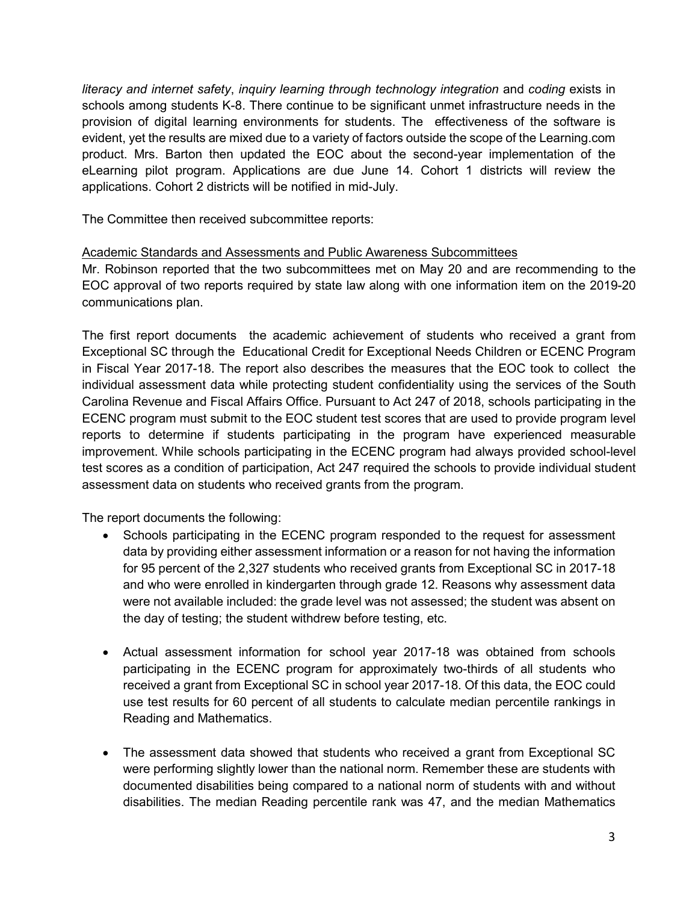*literacy and internet safety*, *inquiry learning through technology integration* and *coding* exists in schools among students K-8. There continue to be significant unmet infrastructure needs in the provision of digital learning environments for students. The effectiveness of the software is evident, yet the results are mixed due to a variety of factors outside the scope of the Learning.com product. Mrs. Barton then updated the EOC about the second-year implementation of the eLearning pilot program. Applications are due June 14. Cohort 1 districts will review the applications. Cohort 2 districts will be notified in mid-July.

The Committee then received subcommittee reports:

#### Academic Standards and Assessments and Public Awareness Subcommittees

Mr. Robinson reported that the two subcommittees met on May 20 and are recommending to the EOC approval of two reports required by state law along with one information item on the 2019-20 communications plan.

The first report documents the academic achievement of students who received a grant from Exceptional SC through the Educational Credit for Exceptional Needs Children or ECENC Program in Fiscal Year 2017-18. The report also describes the measures that the EOC took to collect the individual assessment data while protecting student confidentiality using the services of the South Carolina Revenue and Fiscal Affairs Office. Pursuant to Act 247 of 2018, schools participating in the ECENC program must submit to the EOC student test scores that are used to provide program level reports to determine if students participating in the program have experienced measurable improvement. While schools participating in the ECENC program had always provided school-level test scores as a condition of participation, Act 247 required the schools to provide individual student assessment data on students who received grants from the program.

The report documents the following:

- Schools participating in the ECENC program responded to the request for assessment data by providing either assessment information or a reason for not having the information for 95 percent of the 2,327 students who received grants from Exceptional SC in 2017-18 and who were enrolled in kindergarten through grade 12. Reasons why assessment data were not available included: the grade level was not assessed; the student was absent on the day of testing; the student withdrew before testing, etc.
- Actual assessment information for school year 2017-18 was obtained from schools participating in the ECENC program for approximately two-thirds of all students who received a grant from Exceptional SC in school year 2017-18. Of this data, the EOC could use test results for 60 percent of all students to calculate median percentile rankings in Reading and Mathematics.
- The assessment data showed that students who received a grant from Exceptional SC were performing slightly lower than the national norm. Remember these are students with documented disabilities being compared to a national norm of students with and without disabilities. The median Reading percentile rank was 47, and the median Mathematics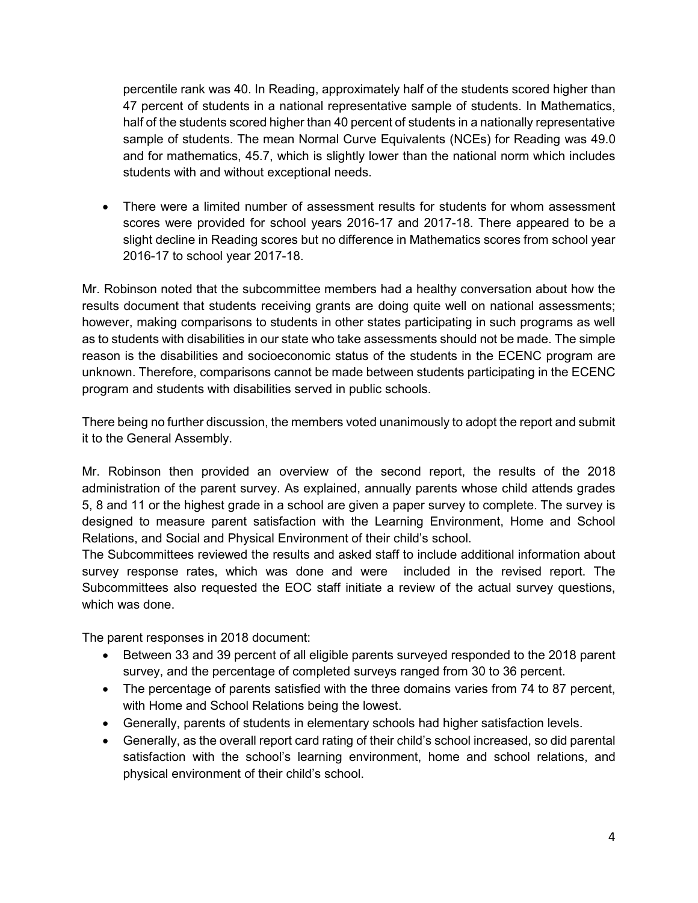percentile rank was 40. In Reading, approximately half of the students scored higher than 47 percent of students in a national representative sample of students. In Mathematics, half of the students scored higher than 40 percent of students in a nationally representative sample of students. The mean Normal Curve Equivalents (NCEs) for Reading was 49.0 and for mathematics, 45.7, which is slightly lower than the national norm which includes students with and without exceptional needs.

• There were a limited number of assessment results for students for whom assessment scores were provided for school years 2016-17 and 2017-18. There appeared to be a slight decline in Reading scores but no difference in Mathematics scores from school year 2016-17 to school year 2017-18.

Mr. Robinson noted that the subcommittee members had a healthy conversation about how the results document that students receiving grants are doing quite well on national assessments; however, making comparisons to students in other states participating in such programs as well as to students with disabilities in our state who take assessments should not be made. The simple reason is the disabilities and socioeconomic status of the students in the ECENC program are unknown. Therefore, comparisons cannot be made between students participating in the ECENC program and students with disabilities served in public schools.

There being no further discussion, the members voted unanimously to adopt the report and submit it to the General Assembly.

Mr. Robinson then provided an overview of the second report, the results of the 2018 administration of the parent survey. As explained, annually parents whose child attends grades 5, 8 and 11 or the highest grade in a school are given a paper survey to complete. The survey is designed to measure parent satisfaction with the Learning Environment, Home and School Relations, and Social and Physical Environment of their child's school.

The Subcommittees reviewed the results and asked staff to include additional information about survey response rates, which was done and were included in the revised report. The Subcommittees also requested the EOC staff initiate a review of the actual survey questions, which was done.

The parent responses in 2018 document:

- Between 33 and 39 percent of all eligible parents surveyed responded to the 2018 parent survey, and the percentage of completed surveys ranged from 30 to 36 percent.
- The percentage of parents satisfied with the three domains varies from 74 to 87 percent, with Home and School Relations being the lowest.
- Generally, parents of students in elementary schools had higher satisfaction levels.
- Generally, as the overall report card rating of their child's school increased, so did parental satisfaction with the school's learning environment, home and school relations, and physical environment of their child's school.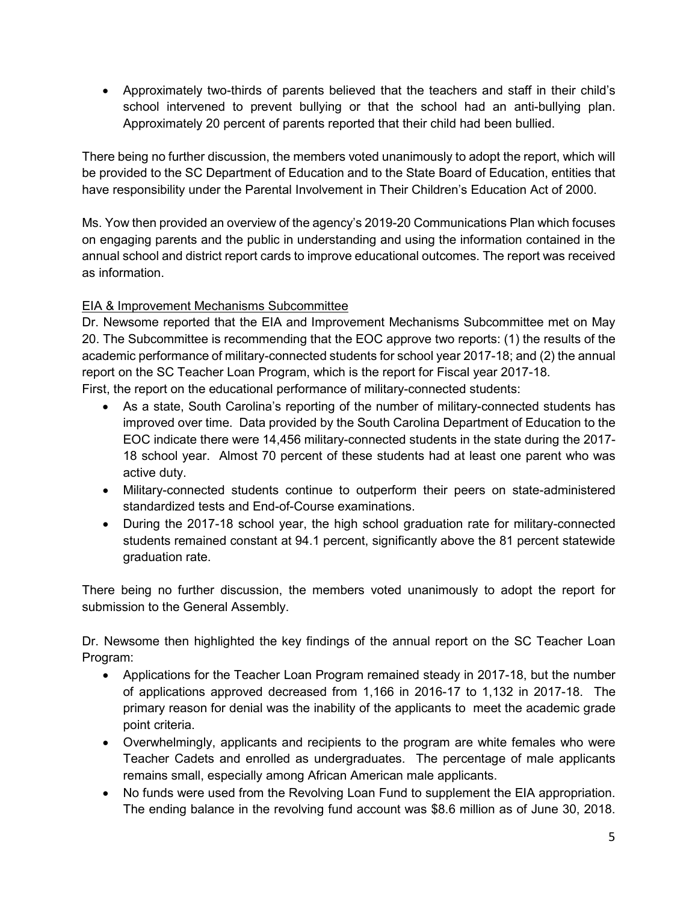• Approximately two-thirds of parents believed that the teachers and staff in their child's school intervened to prevent bullying or that the school had an anti-bullying plan. Approximately 20 percent of parents reported that their child had been bullied.

There being no further discussion, the members voted unanimously to adopt the report, which will be provided to the SC Department of Education and to the State Board of Education, entities that have responsibility under the Parental Involvement in Their Children's Education Act of 2000.

Ms. Yow then provided an overview of the agency's 2019-20 Communications Plan which focuses on engaging parents and the public in understanding and using the information contained in the annual school and district report cards to improve educational outcomes. The report was received as information.

## EIA & Improvement Mechanisms Subcommittee

Dr. Newsome reported that the EIA and Improvement Mechanisms Subcommittee met on May 20. The Subcommittee is recommending that the EOC approve two reports: (1) the results of the academic performance of military-connected students for school year 2017-18; and (2) the annual report on the SC Teacher Loan Program, which is the report for Fiscal year 2017-18.

First, the report on the educational performance of military-connected students:

- As a state, South Carolina's reporting of the number of military-connected students has improved over time. Data provided by the South Carolina Department of Education to the EOC indicate there were 14,456 military-connected students in the state during the 2017- 18 school year. Almost 70 percent of these students had at least one parent who was active duty.
- Military-connected students continue to outperform their peers on state-administered standardized tests and End-of-Course examinations.
- During the 2017-18 school year, the high school graduation rate for military-connected students remained constant at 94.1 percent, significantly above the 81 percent statewide graduation rate.

There being no further discussion, the members voted unanimously to adopt the report for submission to the General Assembly.

Dr. Newsome then highlighted the key findings of the annual report on the SC Teacher Loan Program:

- Applications for the Teacher Loan Program remained steady in 2017-18, but the number of applications approved decreased from 1,166 in 2016-17 to 1,132 in 2017-18. The primary reason for denial was the inability of the applicants to meet the academic grade point criteria.
- Overwhelmingly, applicants and recipients to the program are white females who were Teacher Cadets and enrolled as undergraduates. The percentage of male applicants remains small, especially among African American male applicants.
- No funds were used from the Revolving Loan Fund to supplement the EIA appropriation. The ending balance in the revolving fund account was \$8.6 million as of June 30, 2018.